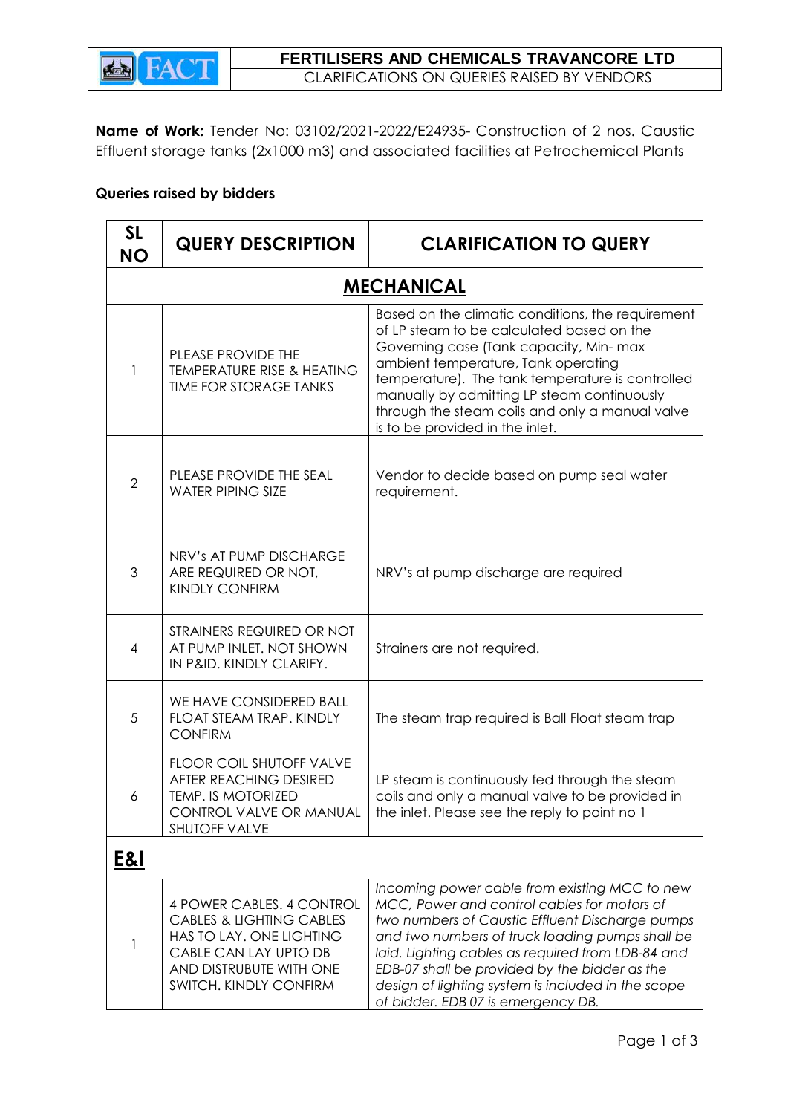

**Name of Work:** Tender No: 03102/2021-2022/E24935- Construction of 2 nos. Caustic Effluent storage tanks (2x1000 m3) and associated facilities at Petrochemical Plants

## **Queries raised by bidders**

| <b>SL</b><br><b>NO</b> | <b>QUERY DESCRIPTION</b>                                                                                                                                                   | <b>CLARIFICATION TO QUERY</b>                                                                                                                                                                                                                                                                                                                                                                        |  |  |
|------------------------|----------------------------------------------------------------------------------------------------------------------------------------------------------------------------|------------------------------------------------------------------------------------------------------------------------------------------------------------------------------------------------------------------------------------------------------------------------------------------------------------------------------------------------------------------------------------------------------|--|--|
| <b>MECHANICAL</b>      |                                                                                                                                                                            |                                                                                                                                                                                                                                                                                                                                                                                                      |  |  |
| 1                      | PLEASE PROVIDE THE<br><b>TEMPERATURE RISE &amp; HEATING</b><br><b>TIME FOR STORAGE TANKS</b>                                                                               | Based on the climatic conditions, the requirement<br>of LP steam to be calculated based on the<br>Governing case (Tank capacity, Min-max<br>ambient temperature, Tank operating<br>temperature). The tank temperature is controlled<br>manually by admitting LP steam continuously<br>through the steam coils and only a manual valve<br>is to be provided in the inlet.                             |  |  |
| $\overline{2}$         | PLEASE PROVIDE THE SEAL<br><b>WATER PIPING SIZE</b>                                                                                                                        | Vendor to decide based on pump seal water<br>requirement.                                                                                                                                                                                                                                                                                                                                            |  |  |
| 3                      | NRV's AT PUMP DISCHARGE<br>ARE REQUIRED OR NOT,<br><b>KINDLY CONFIRM</b>                                                                                                   | NRV's at pump discharge are required                                                                                                                                                                                                                                                                                                                                                                 |  |  |
| 4                      | STRAINERS REQUIRED OR NOT<br>AT PUMP INLET. NOT SHOWN<br>IN P&ID. KINDLY CLARIFY.                                                                                          | Strainers are not required.                                                                                                                                                                                                                                                                                                                                                                          |  |  |
| 5                      | WE HAVE CONSIDERED BALL<br>FLOAT STEAM TRAP. KINDLY<br><b>CONFIRM</b>                                                                                                      | The steam trap required is Ball Float steam trap                                                                                                                                                                                                                                                                                                                                                     |  |  |
| 6                      | FLOOR COIL SHUTOFF VALVE<br>AFTER REACHING DESIRED<br>TEMP. IS MOTORIZED<br>CONTROL VALVE OR MANUAL<br><b>SHUTOFF VALVE</b>                                                | LP steam is continuously fed through the steam<br>coils and only a manual valve to be provided in<br>the inlet. Please see the reply to point no 1                                                                                                                                                                                                                                                   |  |  |
| <u>E&amp;I</u>         |                                                                                                                                                                            |                                                                                                                                                                                                                                                                                                                                                                                                      |  |  |
| 1                      | 4 POWER CABLES. 4 CONTROL<br><b>CABLES &amp; LIGHTING CABLES</b><br>HAS TO LAY. ONE LIGHTING<br>CABLE CAN LAY UPTO DB<br>AND DISTRUBUTE WITH ONE<br>SWITCH. KINDLY CONFIRM | Incoming power cable from existing MCC to new<br>MCC, Power and control cables for motors of<br>two numbers of Caustic Effluent Discharge pumps<br>and two numbers of truck loading pumps shall be<br>laid. Lighting cables as required from LDB-84 and<br>EDB-07 shall be provided by the bidder as the<br>design of lighting system is included in the scope<br>of bidder. EDB 07 is emergency DB. |  |  |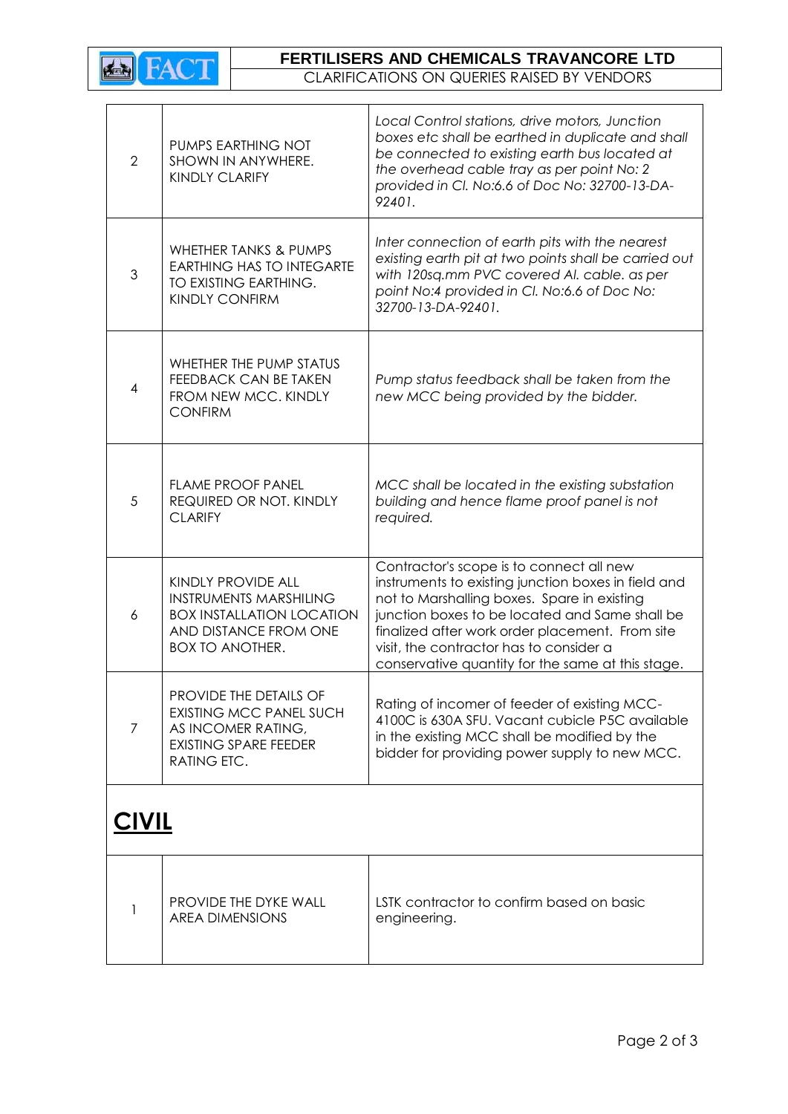

AREA DIMENSIONS

## **FERTILISERS AND CHEMICALS TRAVANCORE LTD**

CLARIFICATIONS ON QUERIES RAISED BY VENDORS

| $\overline{2}$ | PUMPS EARTHING NOT<br>SHOWN IN ANYWHERE.<br>KINDLY CLARIFY                                                                                 | Local Control stations, drive motors, Junction<br>boxes etc shall be earthed in duplicate and shall<br>be connected to existing earth bus located at<br>the overhead cable tray as per point No: 2<br>provided in Cl. No:6.6 of Doc No: 32700-13-DA-<br>92401.                                                                                      |
|----------------|--------------------------------------------------------------------------------------------------------------------------------------------|-----------------------------------------------------------------------------------------------------------------------------------------------------------------------------------------------------------------------------------------------------------------------------------------------------------------------------------------------------|
| 3              | <b>WHETHER TANKS &amp; PUMPS</b><br><b>EARTHING HAS TO INTEGARTE</b><br>TO EXISTING EARTHING.<br><b>KINDLY CONFIRM</b>                     | Inter connection of earth pits with the nearest<br>existing earth pit at two points shall be carried out<br>with 120sq.mm PVC covered AI. cable. as per<br>point No:4 provided in Cl. No:6.6 of Doc No:<br>32700-13-DA-92401.                                                                                                                       |
| 4              | WHETHER THE PUMP STATUS<br>FEEDBACK CAN BE TAKEN<br>FROM NEW MCC. KINDLY<br><b>CONFIRM</b>                                                 | Pump status feedback shall be taken from the<br>new MCC being provided by the bidder.                                                                                                                                                                                                                                                               |
| 5              | <b>FLAME PROOF PANEL</b><br>REQUIRED OR NOT. KINDLY<br><b>CLARIFY</b>                                                                      | MCC shall be located in the existing substation<br>building and hence flame proof panel is not<br>required.                                                                                                                                                                                                                                         |
| 6              | KINDLY PROVIDE ALL<br><b>INSTRUMENTS MARSHILING</b><br><b>BOX INSTALLATION LOCATION</b><br>AND DISTANCE FROM ONE<br><b>BOX TO ANOTHER.</b> | Contractor's scope is to connect all new<br>instruments to existing junction boxes in field and<br>not to Marshalling boxes. Spare in existing<br>junction boxes to be located and Same shall be<br>finalized after work order placement. From site<br>visit, the contractor has to consider a<br>conservative quantity for the same at this stage. |
| $\overline{7}$ | PROVIDE THE DETAILS OF<br><b>EXISTING MCC PANEL SUCH</b><br>AS INCOMER RATING,<br><b>EXISTING SPARE FEEDER</b><br>RATING ETC.              | Rating of incomer of feeder of existing MCC-<br>4100C is 630A SFU. Vacant cubicle P5C available<br>in the existing MCC shall be modified by the<br>bidder for providing power supply to new MCC.                                                                                                                                                    |
| <u>CIVIL</u>   |                                                                                                                                            |                                                                                                                                                                                                                                                                                                                                                     |
|                | PROVIDE THE DYKE WALL                                                                                                                      | LSTK contractor to confirm based on basic                                                                                                                                                                                                                                                                                                           |

engineering.